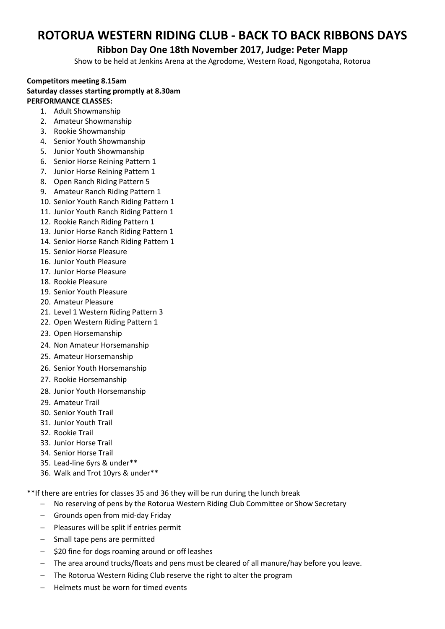# **ROTORUA WESTERN RIDING CLUB - BACK TO BACK RIBBONS DAYS**

### **Ribbon Day One 18th November 2017, Judge: Peter Mapp**

Show to be held at Jenkins Arena at the Agrodome, Western Road, Ngongotaha, Rotorua

#### **Competitors meeting 8.15am Saturday classes starting promptly at 8.30am PERFORMANCE CLASSES:**

- 1. Adult Showmanship
- 2. Amateur Showmanship
- 3. Rookie Showmanship
- 4. Senior Youth Showmanship
- 5. Junior Youth Showmanship
- 6. Senior Horse Reining Pattern 1
- 7. Junior Horse Reining Pattern 1
- 8. Open Ranch Riding Pattern 5
- 9. Amateur Ranch Riding Pattern 1
- 10. Senior Youth Ranch Riding Pattern 1
- 11. Junior Youth Ranch Riding Pattern 1
- 12. Rookie Ranch Riding Pattern 1
- 13. Junior Horse Ranch Riding Pattern 1
- 14. Senior Horse Ranch Riding Pattern 1
- 15. Senior Horse Pleasure
- 16. Junior Youth Pleasure
- 17. Junior Horse Pleasure
- 18. Rookie Pleasure
- 19. Senior Youth Pleasure
- 20. Amateur Pleasure
- 21. Level 1 Western Riding Pattern 3
- 22. Open Western Riding Pattern 1
- 23. Open Horsemanship
- 24. Non Amateur Horsemanship
- 25. Amateur Horsemanship
- 26. Senior Youth Horsemanship
- 27. Rookie Horsemanship
- 28. Junior Youth Horsemanship
- 29. Amateur Trail
- 30. Senior Youth Trail
- 31. Junior Youth Trail
- 32. Rookie Trail
- 33. Junior Horse Trail
- 34. Senior Horse Trail
- 35. Lead-line 6yrs & under\*\*
- 36. Walk and Trot 10yrs & under\*\*

\*\*If there are entries for classes 35 and 36 they will be run during the lunch break

- No reserving of pens by the Rotorua Western Riding Club Committee or Show Secretary
- Grounds open from mid-day Friday
- $-$  Pleasures will be split if entries permit
- Small tape pens are permitted
- $-$  \$20 fine for dogs roaming around or off leashes
- The area around trucks/floats and pens must be cleared of all manure/hay before you leave.
- The Rotorua Western Riding Club reserve the right to alter the program
- Helmets must be worn for timed events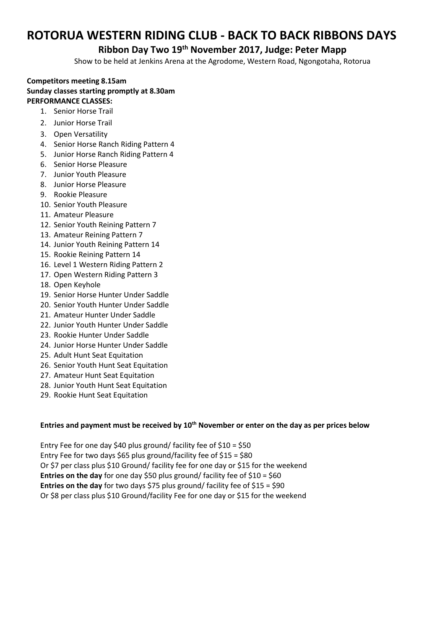# **ROTORUA WESTERN RIDING CLUB - BACK TO BACK RIBBONS DAYS**

## **Ribbon Day Two 19th November 2017, Judge: Peter Mapp**

Show to be held at Jenkins Arena at the Agrodome, Western Road, Ngongotaha, Rotorua

#### **Competitors meeting 8.15am Sunday classes starting promptly at 8.30am PERFORMANCE CLASSES:**

- 1. Senior Horse Trail
- 2. Junior Horse Trail
- 3. Open Versatility
- 4. Senior Horse Ranch Riding Pattern 4
- 5. Junior Horse Ranch Riding Pattern 4
- 6. Senior Horse Pleasure
- 7. Junior Youth Pleasure
- 8. Junior Horse Pleasure
- 9. Rookie Pleasure
- 10. Senior Youth Pleasure
- 11. Amateur Pleasure
- 12. Senior Youth Reining Pattern 7
- 13. Amateur Reining Pattern 7
- 14. Junior Youth Reining Pattern 14
- 15. Rookie Reining Pattern 14
- 16. Level 1 Western Riding Pattern 2
- 17. Open Western Riding Pattern 3
- 18. Open Keyhole
- 19. Senior Horse Hunter Under Saddle
- 20. Senior Youth Hunter Under Saddle
- 21. Amateur Hunter Under Saddle
- 22. Junior Youth Hunter Under Saddle
- 23. Rookie Hunter Under Saddle
- 24. Junior Horse Hunter Under Saddle
- 25. Adult Hunt Seat Equitation
- 26. Senior Youth Hunt Seat Equitation
- 27. Amateur Hunt Seat Equitation
- 28. Junior Youth Hunt Seat Equitation
- 29. Rookie Hunt Seat Equitation

#### **Entries and payment must be received by 10th November or enter on the day as per prices below**

Entry Fee for one day \$40 plus ground/ facility fee of \$10 = \$50 Entry Fee for two days \$65 plus ground/facility fee of \$15 = \$80 Or \$7 per class plus \$10 Ground/ facility fee for one day or \$15 for the weekend **Entries on the day** for one day \$50 plus ground/ facility fee of \$10 = \$60 **Entries on the day** for two days \$75 plus ground/ facility fee of \$15 = \$90 Or \$8 per class plus \$10 Ground/facility Fee for one day or \$15 for the weekend